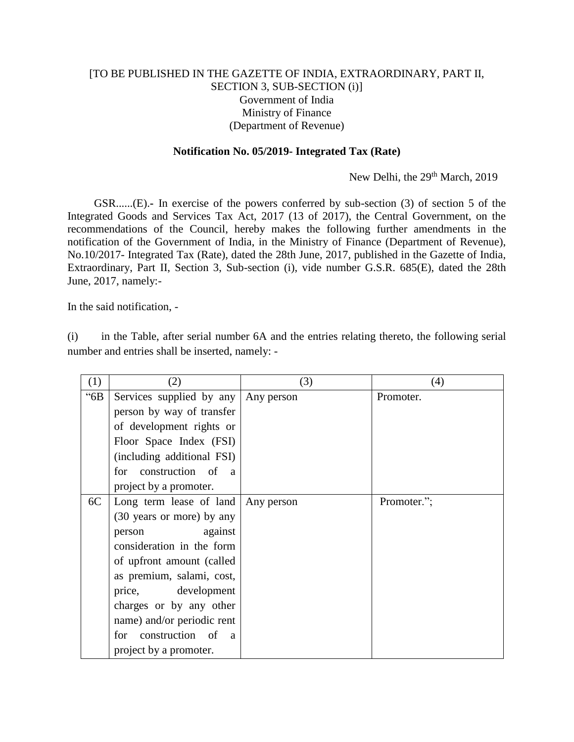## [TO BE PUBLISHED IN THE GAZETTE OF INDIA, EXTRAORDINARY, PART II, SECTION 3, SUB-SECTION (i)] Government of India Ministry of Finance (Department of Revenue)

## **Notification No. 05/2019- Integrated Tax (Rate)**

New Delhi, the 29<sup>th</sup> March, 2019

GSR......(E).**-** In exercise of the powers conferred by sub-section (3) of section 5 of the Integrated Goods and Services Tax Act, 2017 (13 of 2017), the Central Government, on the recommendations of the Council, hereby makes the following further amendments in the notification of the Government of India, in the Ministry of Finance (Department of Revenue), No.10/2017- Integrated Tax (Rate), dated the 28th June, 2017, published in the Gazette of India, Extraordinary, Part II, Section 3, Sub-section (i), vide number G.S.R. 685(E), dated the 28th June, 2017, namely:-

In the said notification, -

(i) in the Table, after serial number 6A and the entries relating thereto, the following serial number and entries shall be inserted, namely: -

| (1)  | (2)                                      | (3)        | (4)         |
|------|------------------------------------------|------------|-------------|
| "6B" | Services supplied by any Any person      |            | Promoter.   |
|      | person by way of transfer                |            |             |
|      | of development rights or                 |            |             |
|      | Floor Space Index (FSI)                  |            |             |
|      | (including additional FSI)               |            |             |
|      | for construction of a                    |            |             |
|      | project by a promoter.                   |            |             |
| 6C   | Long term lease of land                  | Any person | Promoter."; |
|      | (30 years or more) by any                |            |             |
|      | against<br>person                        |            |             |
|      | consideration in the form                |            |             |
|      | of upfront amount (called                |            |             |
|      | as premium, salami, cost,                |            |             |
|      | price,<br>development                    |            |             |
|      | charges or by any other                  |            |             |
|      | name) and/or periodic rent               |            |             |
|      | construction of<br>for<br>$\overline{a}$ |            |             |
|      | project by a promoter.                   |            |             |